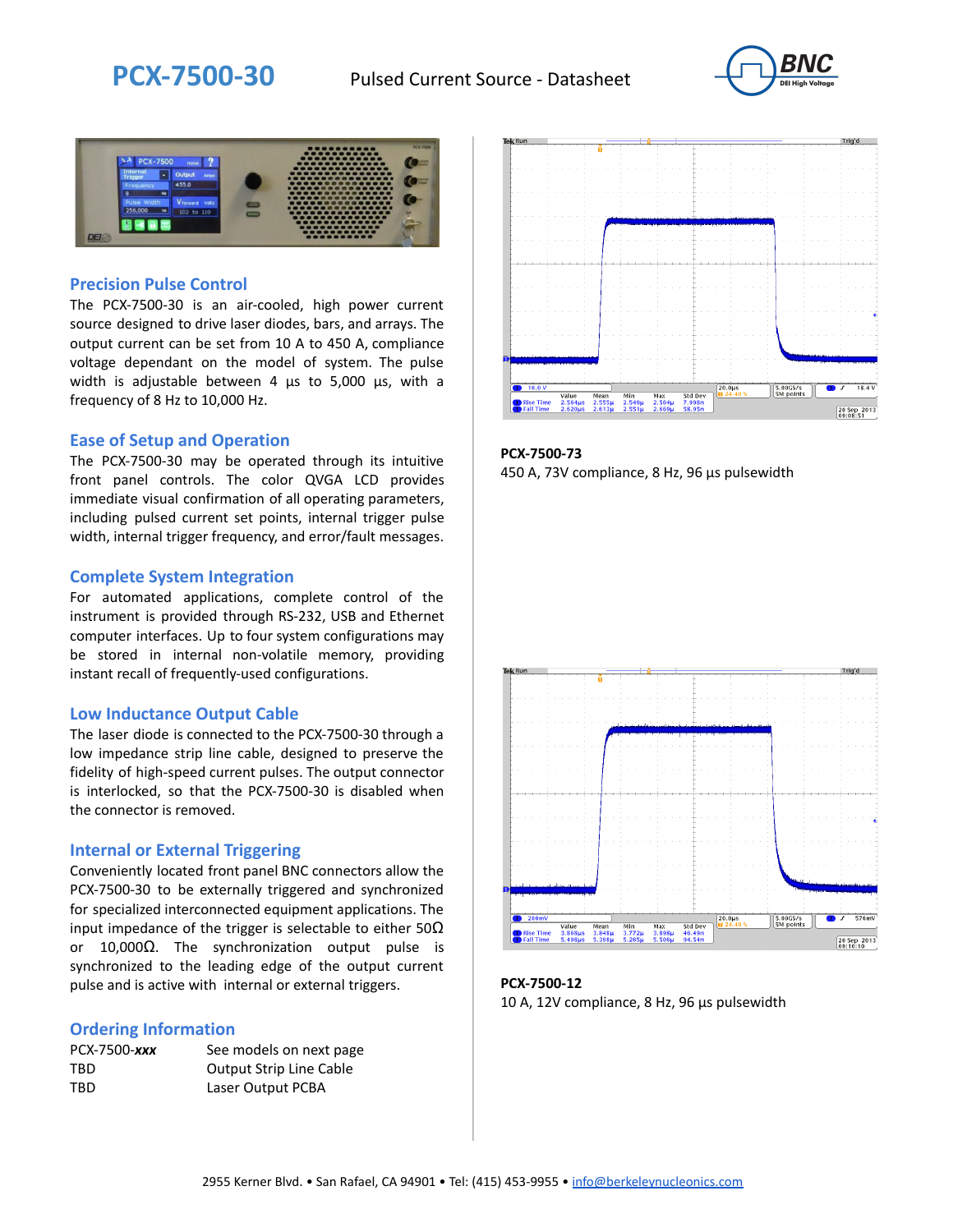



### **Precision Pulse Control**

The PCX-7500-30 is an air-cooled, high power current source designed to drive laser diodes, bars, and arrays. The output current can be set from 10 A to 450 A, compliance voltage dependant on the model of system. The pulse width is adjustable between 4 µs to 5,000 µs, with a frequency of 8 Hz to 10,000 Hz.

#### **Ease of Setup and Operation**

The PCX-7500-30 may be operated through its intuitive front panel controls. The color QVGA LCD provides immediate visual confirmation of all operating parameters, including pulsed current set points, internal trigger pulse width, internal trigger frequency, and error/fault messages.

#### **Complete System Integration**

For automated applications, complete control of the instrument is provided through RS-232, USB and Ethernet computer interfaces. Up to four system configurations may be stored in internal non-volatile memory, providing instant recall of frequently-used configurations.

#### **Low Inductance Output Cable**

The laser diode is connected to the PCX-7500-30 through a low impedance strip line cable, designed to preserve the fidelity of high-speed current pulses. The output connector is interlocked, so that the PCX-7500-30 is disabled when the connector is removed.

#### **Internal or External Triggering**

Conveniently located front panel BNC connectors allow the PCX-7500-30 to be externally triggered and synchronized for specialized interconnected equipment applications. The input impedance of the trigger is selectable to either  $50\Omega$ or 10,000Ω. The synchronization output pulse is synchronized to the leading edge of the output current pulse and is active with internal or external triggers.

#### **Ordering Information**

| PCX-7500-xxx | See models on next page        |
|--------------|--------------------------------|
| TBD          | <b>Output Strip Line Cable</b> |
| TBD          | Laser Output PCBA              |



**PCX-7500-73** 450 A, 73V compliance, 8 Hz, 96 µs pulsewidth



**PCX-7500-12** 10 A, 12V compliance, 8 Hz, 96 μs pulsewidth